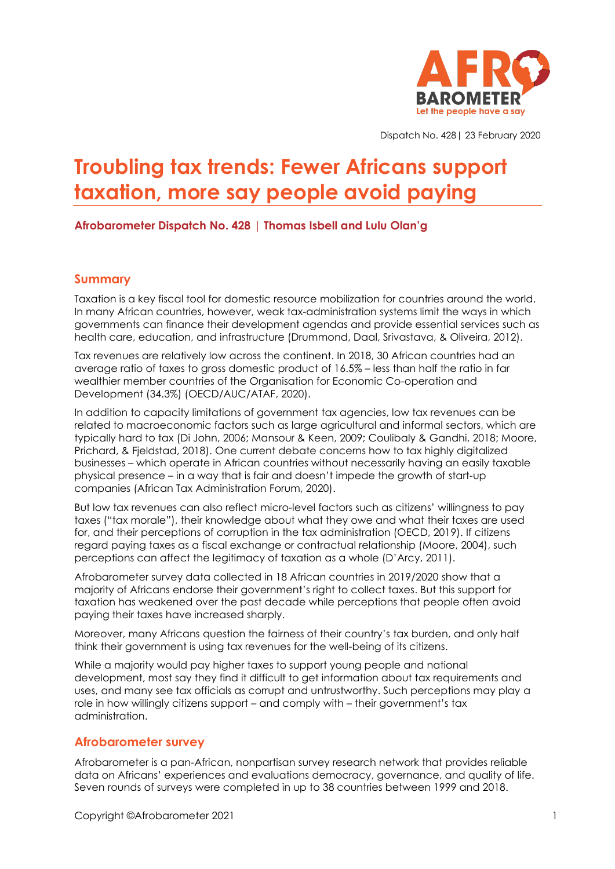

Dispatch No. 428| 23 February 2020

# **Troubling tax trends: Fewer Africans support taxation, more say people avoid paying**

**Afrobarometer Dispatch No. 428 | Thomas Isbell and Lulu Olan'g**

#### **Summary**

Taxation is a key fiscal tool for domestic resource mobilization for countries around the world. In many African countries, however, weak tax-administration systems limit the ways in which governments can finance their development agendas and provide essential services such as health care, education, and infrastructure (Drummond, Daal, Srivastava, & Oliveira, 2012).

Tax revenues are relatively low across the continent. In 2018, 30 African countries had an average ratio of taxes to gross domestic product of 16.5% – less than half the ratio in far wealthier member countries of the Organisation for Economic Co-operation and Development (34.3%) (OECD/AUC/ATAF, 2020).

In addition to capacity limitations of government tax agencies, low tax revenues can be related to macroeconomic factors such as large agricultural and informal sectors, which are typically hard to tax (Di John, 2006; Mansour & Keen, 2009; Coulibaly & Gandhi, 2018; Moore, Prichard, & Fjeldstad, 2018). One current debate concerns how to tax highly digitalized businesses – which operate in African countries without necessarily having an easily taxable physical presence – in a way that is fair and doesn't impede the growth of start-up companies (African Tax Administration Forum, 2020).

But low tax revenues can also reflect micro-level factors such as citizens' willingness to pay taxes ("tax morale"), their knowledge about what they owe and what their taxes are used for, and their perceptions of corruption in the tax administration (OECD, 2019). If citizens regard paying taxes as a fiscal exchange or contractual relationship (Moore, 2004), such perceptions can affect the legitimacy of taxation as a whole (D'Arcy, 2011).

Afrobarometer survey data collected in 18 African countries in 2019/2020 show that a majority of Africans endorse their government's right to collect taxes. But this support for taxation has weakened over the past decade while perceptions that people often avoid paying their taxes have increased sharply.

Moreover, many Africans question the fairness of their country's tax burden, and only half think their government is using tax revenues for the well-being of its citizens.

While a majority would pay higher taxes to support young people and national development, most say they find it difficult to get information about tax requirements and uses, and many see tax officials as corrupt and untrustworthy. Such perceptions may play a role in how willingly citizens support – and comply with – their government's tax administration.

#### **Afrobarometer survey**

Afrobarometer is a pan-African, nonpartisan survey research network that provides reliable data on Africans' experiences and evaluations democracy, governance, and quality of life. Seven rounds of surveys were completed in up to 38 countries between 1999 and 2018.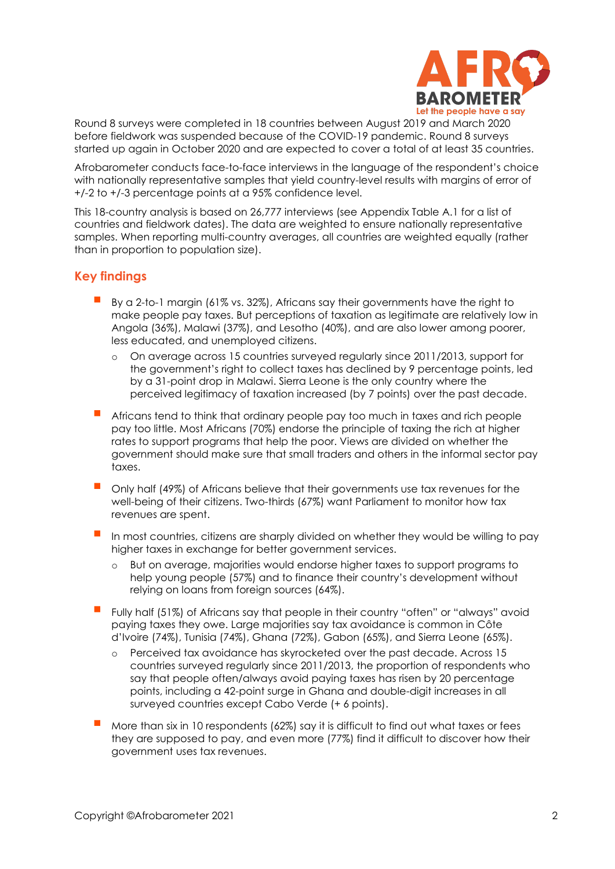

Round 8 surveys were completed in 18 countries between August 2019 and March 2020 before fieldwork was suspended because of the COVID-19 pandemic. Round 8 surveys started up again in October 2020 and are expected to cover a total of at least 35 countries.

Afrobarometer conducts face-to-face interviews in the language of the respondent's choice with nationally representative samples that yield country-level results with margins of error of +/-2 to +/-3 percentage points at a 95% confidence level.

This 18-country analysis is based on 26,777 interviews (see Appendix Table A.1 for a list of countries and fieldwork dates). The data are weighted to ensure nationally representative samples. When reporting multi-country averages, all countries are weighted equally (rather than in proportion to population size).

## **Key findings**

- By a 2-to-1 margin (61% vs. 32%), Africans say their governments have the right to make people pay taxes. But perceptions of taxation as legitimate are relatively low in Angola (36%), Malawi (37%), and Lesotho (40%), and are also lower among poorer, less educated, and unemployed citizens.
	- o On average across 15 countries surveyed regularly since 2011/2013, support for the government's right to collect taxes has declined by 9 percentage points, led by a 31-point drop in Malawi. Sierra Leone is the only country where the perceived legitimacy of taxation increased (by 7 points) over the past decade.
- Africans tend to think that ordinary people pay too much in taxes and rich people pay too little. Most Africans (70%) endorse the principle of taxing the rich at higher rates to support programs that help the poor. Views are divided on whether the government should make sure that small traders and others in the informal sector pay taxes.
- Only half (49%) of Africans believe that their governments use tax revenues for the well-being of their citizens. Two-thirds (67%) want Parliament to monitor how tax revenues are spent.
- In most countries, citizens are sharply divided on whether they would be willing to pay higher taxes in exchange for better government services.
	- o But on average, majorities would endorse higher taxes to support programs to help young people (57%) and to finance their country's development without relying on loans from foreign sources (64%).
- Fully half (51%) of Africans say that people in their country "often" or "always" avoid paying taxes they owe. Large majorities say tax avoidance is common in Côte d'Ivoire (74%), Tunisia (74%), Ghana (72%), Gabon (65%), and Sierra Leone (65%).
	- o Perceived tax avoidance has skyrocketed over the past decade. Across 15 countries surveyed regularly since 2011/2013, the proportion of respondents who say that people often/always avoid paying taxes has risen by 20 percentage points, including a 42-point surge in Ghana and double-digit increases in all surveyed countries except Cabo Verde (+ 6 points).
- More than six in 10 respondents (62%) say it is difficult to find out what taxes or fees they are supposed to pay, and even more (77%) find it difficult to discover how their government uses tax revenues.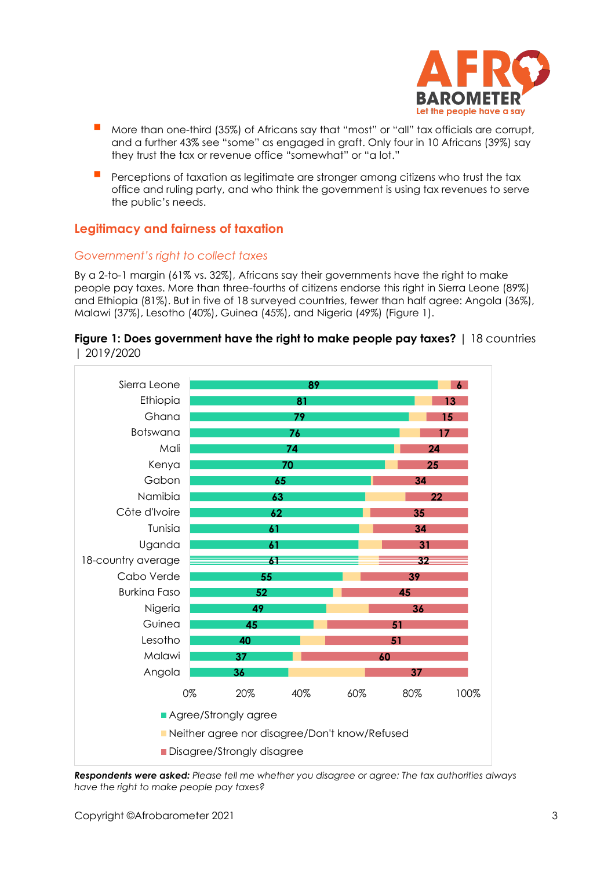

- More than one-third (35%) of Africans say that "most" or "all" tax officials are corrupt, and a further 43% see "some" as engaged in graft. Only four in 10 Africans (39%) say they trust the tax or revenue office "somewhat" or "a lot."
- Perceptions of taxation as legitimate are stronger among citizens who trust the tax office and ruling party, and who think the government is using tax revenues to serve the public's needs.

## **Legitimacy and fairness of taxation**

#### *Government's right to collect taxes*

By a 2-to-1 margin (61% vs. 32%), Africans say their governments have the right to make people pay taxes. More than three-fourths of citizens endorse this right in Sierra Leone (89%) and Ethiopia (81%). But in five of 18 surveyed countries, fewer than half agree: Angola (36%), Malawi (37%), Lesotho (40%), Guinea (45%), and Nigeria (49%) (Figure 1).

#### **Figure 1: Does government have the right to make people pay taxes?** | 18 countries | 2019/2020



*Respondents were asked: Please tell me whether you disagree or agree: The tax authorities always have the right to make people pay taxes?*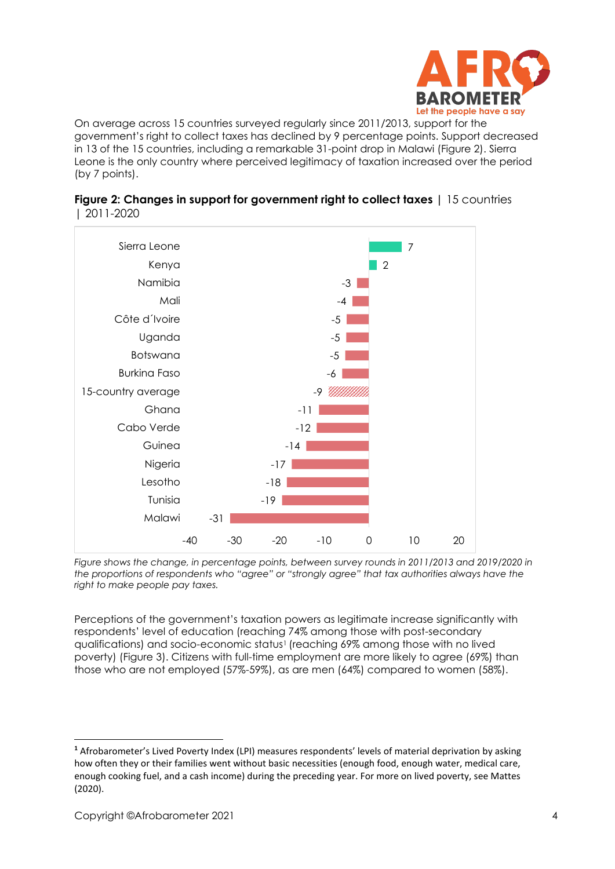

On average across 15 countries surveyed regularly since 2011/2013, support for the government's right to collect taxes has declined by 9 percentage points. Support decreased in 13 of the 15 countries, including a remarkable 31-point drop in Malawi (Figure 2). Sierra Leone is the only country where perceived legitimacy of taxation increased over the period (by 7 points).



| <b>Figure 2: Changes in support for government right to collect taxes</b>   15 countries |  |
|------------------------------------------------------------------------------------------|--|
| 2011-2020                                                                                |  |

*Figure shows the change, in percentage points, between survey rounds in 2011/2013 and 2019/2020 in the proportions of respondents who "agree" or "strongly agree" that tax authorities always have the right to make people pay taxes.*

Perceptions of the government's taxation powers as legitimate increase significantly with respondents' level of education (reaching 74% among those with post-secondary qualifications) and socio-economic status<sup>1</sup> (reaching 69% among those with no lived poverty) (Figure 3). Citizens with full-time employment are more likely to agree (69%) than those who are not employed (57%-59%), as are men (64%) compared to women (58%).

**<sup>1</sup>** Afrobarometer's Lived Poverty Index (LPI) measures respondents' levels of material deprivation by asking how often they or their families went without basic necessities (enough food, enough water, medical care, enough cooking fuel, and a cash income) during the preceding year. For more on lived poverty, see Mattes (2020).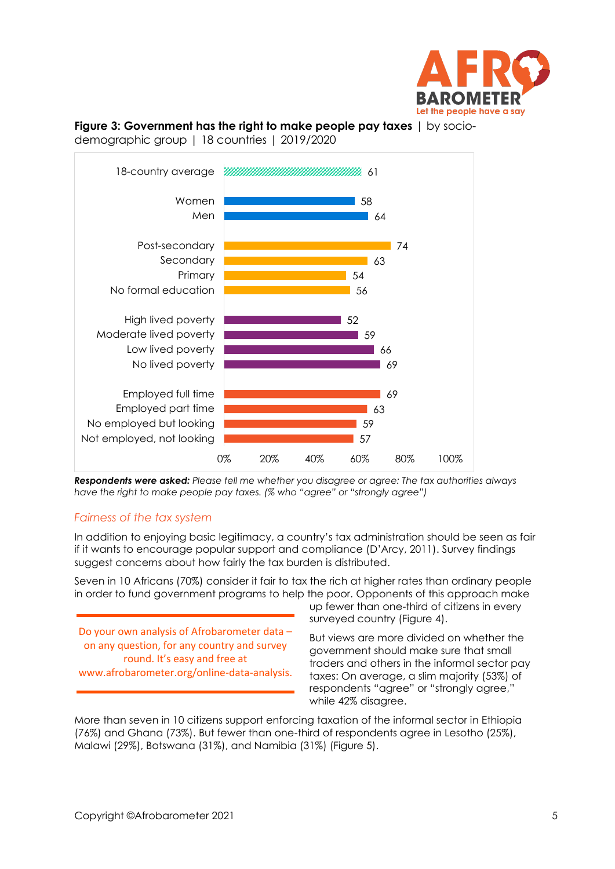

# **Figure 3: Government has the right to make people pay taxes** | by socio-



demographic group | 18 countries | 2019/2020

*Respondents were asked: Please tell me whether you disagree or agree: The tax authorities always have the right to make people pay taxes. (% who "agree" or "strongly agree")*

#### *Fairness of the tax system*

In addition to enjoying basic legitimacy, a country's tax administration should be seen as fair if it wants to encourage popular support and compliance (D'Arcy, 2011). Survey findings suggest concerns about how fairly the tax burden is distributed.

Seven in 10 Africans (70%) consider it fair to tax the rich at higher rates than ordinary people in order to fund government programs to help the poor. Opponents of this approach make

Do your own analysis of Afrobarometer data – on any question, for any country and survey round. It's easy and free at www.afrobarometer.org/online-data-analysis.

up fewer than one-third of citizens in every surveyed country (Figure 4).

But views are more divided on whether the government should make sure that small traders and others in the informal sector pay taxes: On average, a slim majority (53%) of respondents "agree" or "strongly agree," while 42% disagree.

More than seven in 10 citizens support enforcing taxation of the informal sector in Ethiopia (76%) and Ghana (73%). But fewer than one-third of respondents agree in Lesotho (25%), Malawi (29%), Botswana (31%), and Namibia (31%) (Figure 5).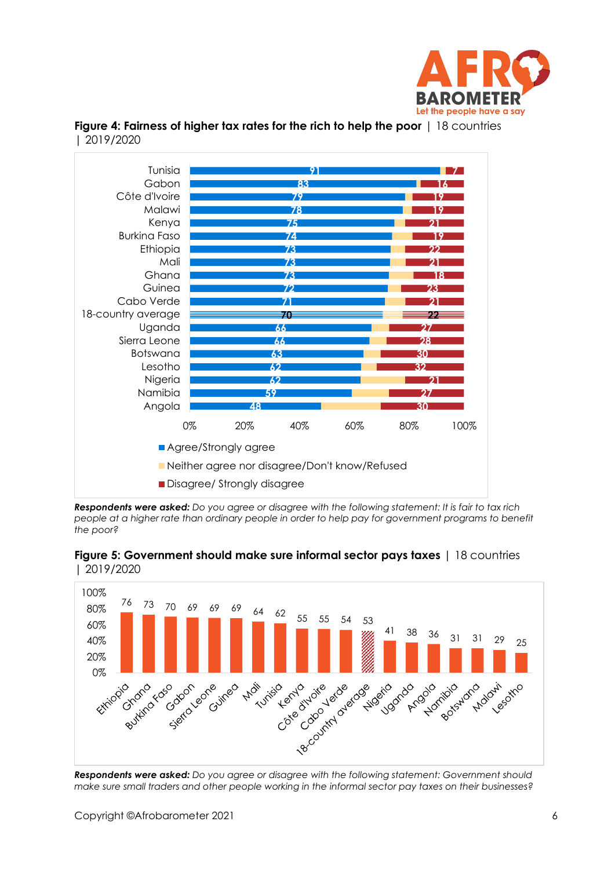





*Respondents were asked: Do you agree or disagree with the following statement: It is fair to tax rich people at a higher rate than ordinary people in order to help pay for government programs to benefit the poor?*





*make sure small traders and other people working in the informal sector pay taxes on their businesses?*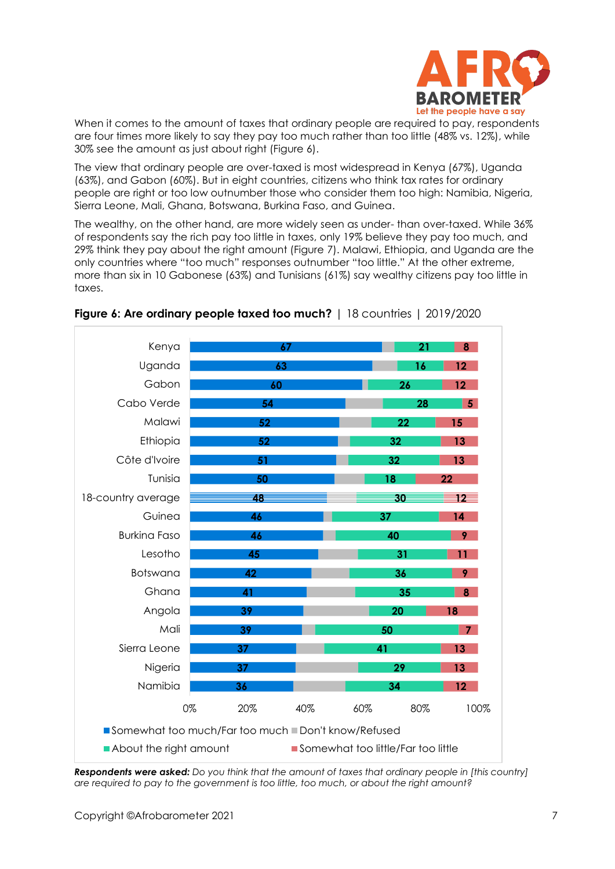

When it comes to the amount of taxes that ordinary people are required to pay, respondents are four times more likely to say they pay too much rather than too little (48% vs. 12%), while 30% see the amount as just about right (Figure 6).

The view that ordinary people are over-taxed is most widespread in Kenya (67%), Uganda (63%), and Gabon (60%). But in eight countries, citizens who think tax rates for ordinary people are right or too low outnumber those who consider them too high: Namibia, Nigeria, Sierra Leone, Mali, Ghana, Botswana, Burkina Faso, and Guinea.

The wealthy, on the other hand, are more widely seen as under- than over-taxed. While 36% of respondents say the rich pay too little in taxes, only 19% believe they pay too much, and 29% think they pay about the right amount (Figure 7). Malawi, Ethiopia, and Uganda are the only countries where "too much" responses outnumber "too little." At the other extreme, more than six in 10 Gabonese (63%) and Tunisians (61%) say wealthy citizens pay too little in taxes.



#### **Figure 6: Are ordinary people taxed too much?** | 18 countries | 2019/2020

*Respondents were asked: Do you think that the amount of taxes that ordinary people in [this country] are required to pay to the government is too little, too much, or about the right amount?*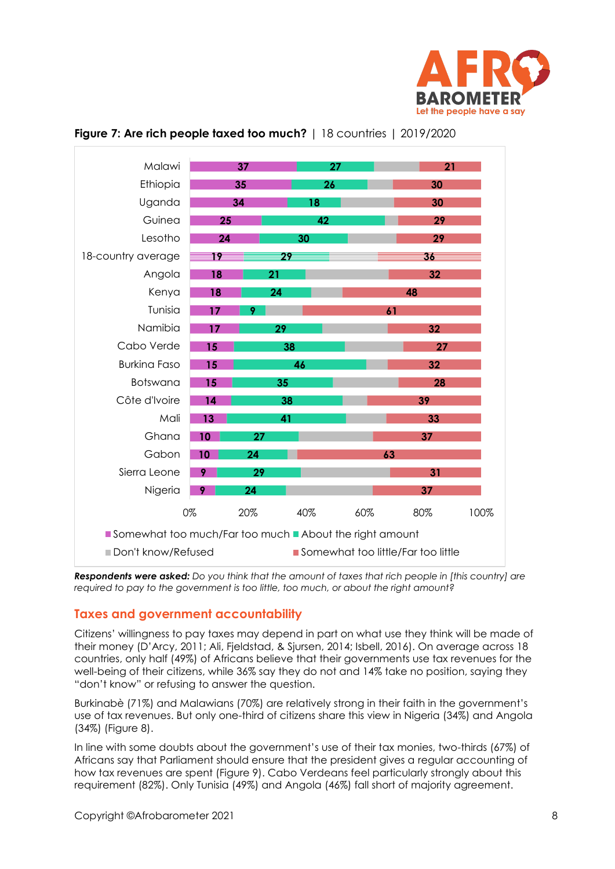



## **Figure 7: Are rich people taxed too much?** | 18 countries | 2019/2020

*Respondents were asked: Do you think that the amount of taxes that rich people in [this country] are required to pay to the government is too little, too much, or about the right amount?*

## **Taxes and government accountability**

Citizens' willingness to pay taxes may depend in part on what use they think will be made of their money (D'Arcy, 2011; Ali, Fjeldstad, & Sjursen, 2014; Isbell, 2016). On average across 18 countries, only half (49%) of Africans believe that their governments use tax revenues for the well-being of their citizens, while 36% say they do not and 14% take no position, saying they "don't know" or refusing to answer the question.

Burkinabè (71%) and Malawians (70%) are relatively strong in their faith in the government's use of tax revenues. But only one-third of citizens share this view in Nigeria (34%) and Angola (34%) (Figure 8).

In line with some doubts about the government's use of their tax monies, two-thirds (67%) of Africans say that Parliament should ensure that the president gives a regular accounting of how tax revenues are spent (Figure 9). Cabo Verdeans feel particularly strongly about this requirement (82%). Only Tunisia (49%) and Angola (46%) fall short of majority agreement.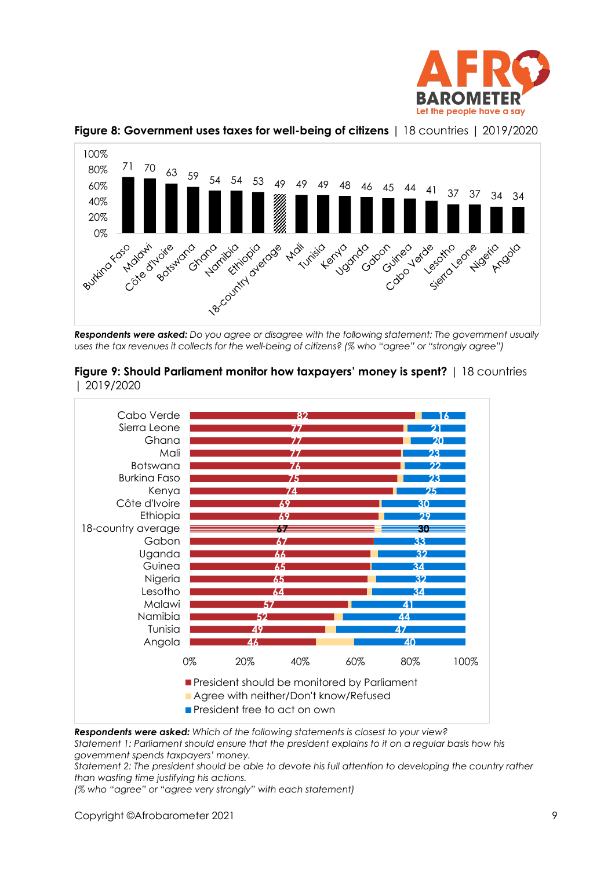



*Respondents were asked: Do you agree or disagree with the following statement: The government usually* 





*uses the tax revenues it collects for the well-being of citizens? (% who "agree" or "strongly agree")*

*Respondents were asked: Which of the following statements is closest to your view? Statement 1: Parliament should ensure that the president explains to it on a regular basis how his government spends taxpayers' money.* 

*Statement 2: The president should be able to devote his full attention to developing the country rather than wasting time justifying his actions.*

*(% who "agree" or "agree very strongly" with each statement)*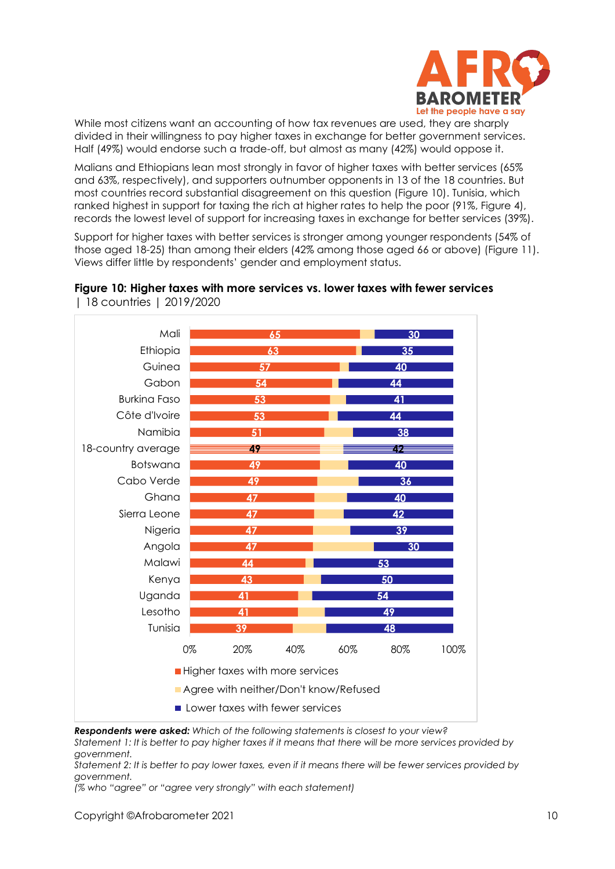

While most citizens want an accounting of how tax revenues are used, they are sharply divided in their willingness to pay higher taxes in exchange for better government services. Half (49%) would endorse such a trade-off, but almost as many (42%) would oppose it.

Malians and Ethiopians lean most strongly in favor of higher taxes with better services (65% and 63%, respectively), and supporters outnumber opponents in 13 of the 18 countries. But most countries record substantial disagreement on this question (Figure 10). Tunisia, which ranked highest in support for taxing the rich at higher rates to help the poor (91%, Figure 4), records the lowest level of support for increasing taxes in exchange for better services (39%).

Support for higher taxes with better services is stronger among younger respondents (54% of those aged 18-25) than among their elders (42% among those aged 66 or above) (Figure 11). Views differ little by respondents' gender and employment status.

**Figure 10: Higher taxes with more services vs. lower taxes with fewer services** 



| 18 countries | 2019/2020

*Respondents were asked: Which of the following statements is closest to your view?* 

*Statement 1: It is better to pay higher taxes if it means that there will be more services provided by government.*

*Statement 2: It is better to pay lower taxes, even if it means there will be fewer services provided by government.*

*(% who "agree" or "agree very strongly" with each statement)*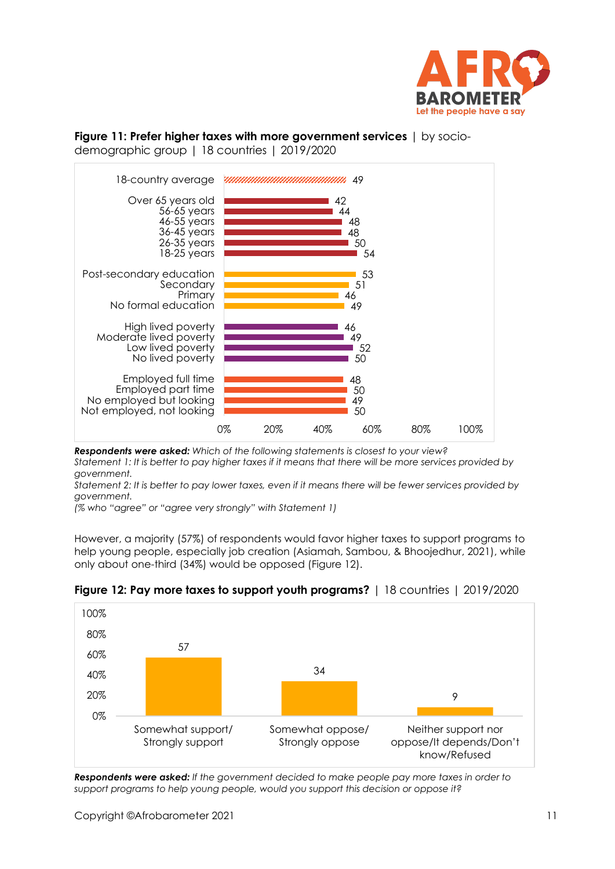

# **Figure 11: Prefer higher taxes with more government services** | by socio-

demographic group | 18 countries | 2019/2020



*Respondents were asked: Which of the following statements is closest to your view?* 

*Statement 1: It is better to pay higher taxes if it means that there will be more services provided by government.*

*Statement 2: It is better to pay lower taxes, even if it means there will be fewer services provided by government.*

*(% who "agree" or "agree very strongly" with Statement 1)*

However, a majority (57%) of respondents would favor higher taxes to support programs to help young people, especially job creation (Asiamah, Sambou, & Bhoojedhur, 2021), while only about one-third (34%) would be opposed (Figure 12).



#### **Figure 12: Pay more taxes to support youth programs?** | 18 countries | 2019/2020

*Respondents were asked: If the government decided to make people pay more taxes in order to support programs to help young people, would you support this decision or oppose it?*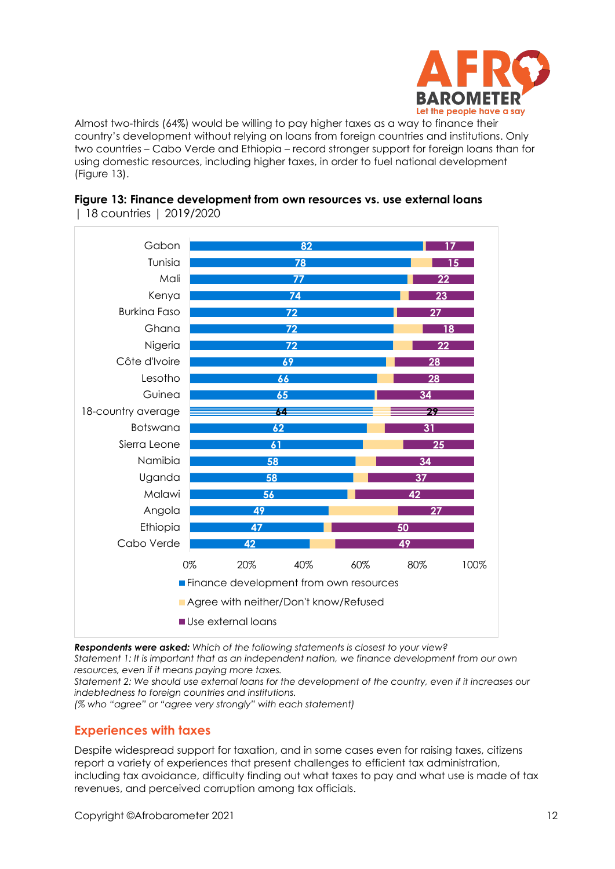

Almost two-thirds (64%) would be willing to pay higher taxes as a way to finance their country's development without relying on loans from foreign countries and institutions. Only two countries – Cabo Verde and Ethiopia – record stronger support for foreign loans than for using domestic resources, including higher taxes, in order to fuel national development (Figure 13).





*Respondents were asked: Which of the following statements is closest to your view?* 

*Statement 1: It is important that as an independent nation, we finance development from our own resources, even if it means paying more taxes.*

*Statement 2: We should use external loans for the development of the country, even if it increases our indebtedness to foreign countries and institutions.*

*(% who "agree" or "agree very strongly" with each statement)*

#### **Experiences with taxes**

Despite widespread support for taxation, and in some cases even for raising taxes, citizens report a variety of experiences that present challenges to efficient tax administration, including tax avoidance, difficulty finding out what taxes to pay and what use is made of tax revenues, and perceived corruption among tax officials.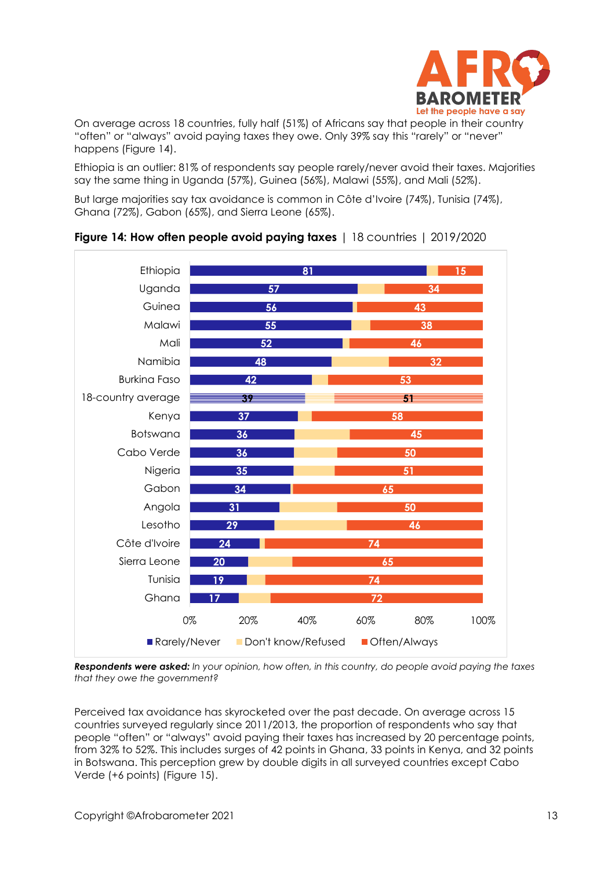

On average across 18 countries, fully half (51%) of Africans say that people in their country "often" or "always" avoid paying taxes they owe. Only 39% say this "rarely" or "never" happens (Figure 14).

Ethiopia is an outlier: 81% of respondents say people rarely/never avoid their taxes. Majorities say the same thing in Uganda (57%), Guinea (56%), Malawi (55%), and Mali (52%).

But large majorities say tax avoidance is common in Côte d'Ivoire (74%), Tunisia (74%), Ghana (72%), Gabon (65%), and Sierra Leone (65%).





*Respondents were asked: In your opinion, how often, in this country, do people avoid paying the taxes that they owe the government?*

Perceived tax avoidance has skyrocketed over the past decade. On average across 15 countries surveyed regularly since 2011/2013, the proportion of respondents who say that people "often" or "always" avoid paying their taxes has increased by 20 percentage points, from 32% to 52%. This includes surges of 42 points in Ghana, 33 points in Kenya, and 32 points in Botswana. This perception grew by double digits in all surveyed countries except Cabo Verde (+6 points) (Figure 15).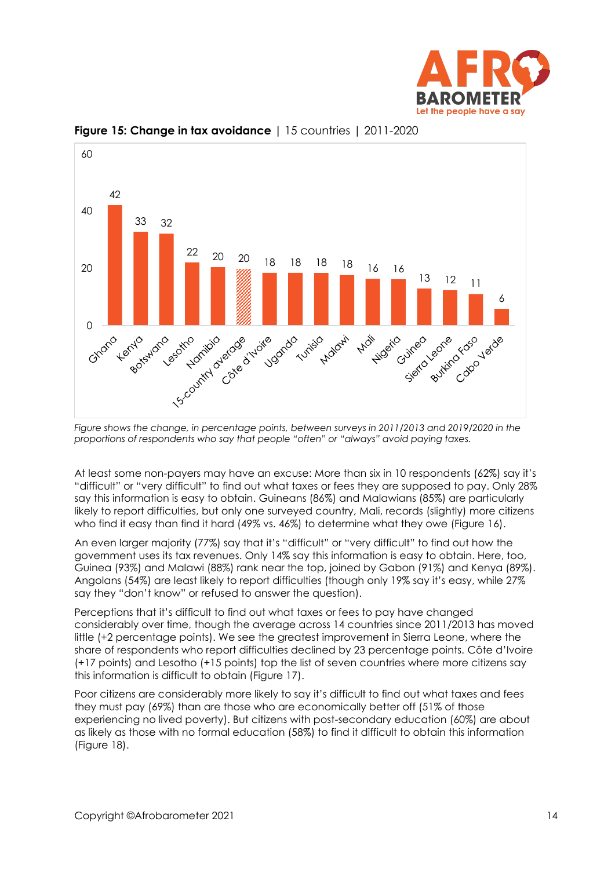



**Figure 15: Change in tax avoidance |** 15 countries | 2011-2020

At least some non-payers may have an excuse: More than six in 10 respondents (62%) say it's "difficult" or "very difficult" to find out what taxes or fees they are supposed to pay. Only 28% say this information is easy to obtain. Guineans (86%) and Malawians (85%) are particularly likely to report difficulties, but only one surveyed country, Mali, records (slightly) more citizens who find it easy than find it hard (49% vs. 46%) to determine what they owe (Figure 16).

An even larger majority (77%) say that it's "difficult" or "very difficult" to find out how the government uses its tax revenues. Only 14% say this information is easy to obtain. Here, too, Guinea (93%) and Malawi (88%) rank near the top, joined by Gabon (91%) and Kenya (89%). Angolans (54%) are least likely to report difficulties (though only 19% say it's easy, while 27% say they "don't know" or refused to answer the question).

Perceptions that it's difficult to find out what taxes or fees to pay have changed considerably over time, though the average across 14 countries since 2011/2013 has moved little (+2 percentage points). We see the greatest improvement in Sierra Leone, where the share of respondents who report difficulties declined by 23 percentage points. Côte d'Ivoire (+17 points) and Lesotho (+15 points) top the list of seven countries where more citizens say this information is difficult to obtain (Figure 17).

Poor citizens are considerably more likely to say it's difficult to find out what taxes and fees they must pay (69%) than are those who are economically better off (51% of those experiencing no lived poverty). But citizens with post-secondary education (60%) are about as likely as those with no formal education (58%) to find it difficult to obtain this information (Figure 18).

*Figure shows the change, in percentage points, between surveys in 2011/2013 and 2019/2020 in the proportions of respondents who say that people "often" or "always" avoid paying taxes.*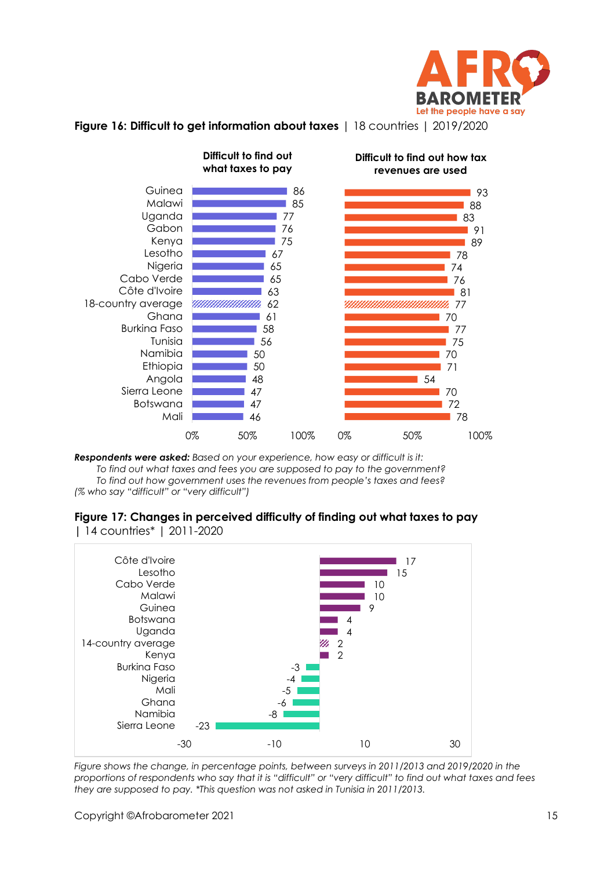





*Respondents were asked: Based on your experience, how easy or difficult is it: To find out what taxes and fees you are supposed to pay to the government? To find out how government uses the revenues from people's taxes and fees? (% who say "difficult" or "very difficult")*





*Figure shows the change, in percentage points, between surveys in 2011/2013 and 2019/2020 in the proportions of respondents who say that it is "difficult" or "very difficult" to find out what taxes and fees they are supposed to pay. \*This question was not asked in Tunisia in 2011/2013.*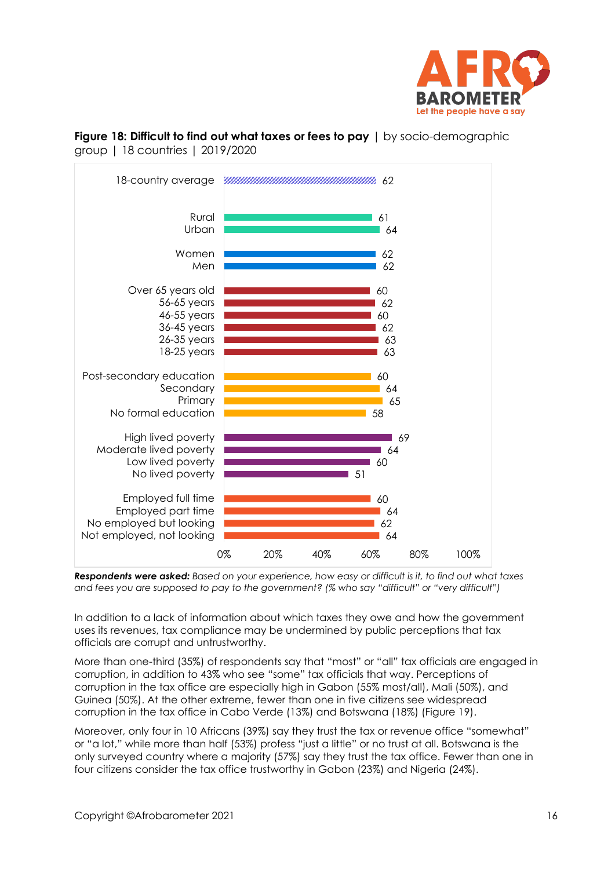

# **Figure 18: Difficult to find out what taxes or fees to pay** | by socio-demographic group | 18 countries | 2019/2020



*Respondents were asked: Based on your experience, how easy or difficult is it, to find out what taxes and fees you are supposed to pay to the government? (% who say "difficult" or "very difficult")*

In addition to a lack of information about which taxes they owe and how the government uses its revenues, tax compliance may be undermined by public perceptions that tax officials are corrupt and untrustworthy.

More than one-third (35%) of respondents say that "most" or "all" tax officials are engaged in corruption, in addition to 43% who see "some" tax officials that way. Perceptions of corruption in the tax office are especially high in Gabon (55% most/all), Mali (50%), and Guinea (50%). At the other extreme, fewer than one in five citizens see widespread corruption in the tax office in Cabo Verde (13%) and Botswana (18%) (Figure 19).

Moreover, only four in 10 Africans (39%) say they trust the tax or revenue office "somewhat" or "a lot," while more than half (53%) profess "just a little" or no trust at all. Botswana is the only surveyed country where a majority (57%) say they trust the tax office. Fewer than one in four citizens consider the tax office trustworthy in Gabon (23%) and Nigeria (24%).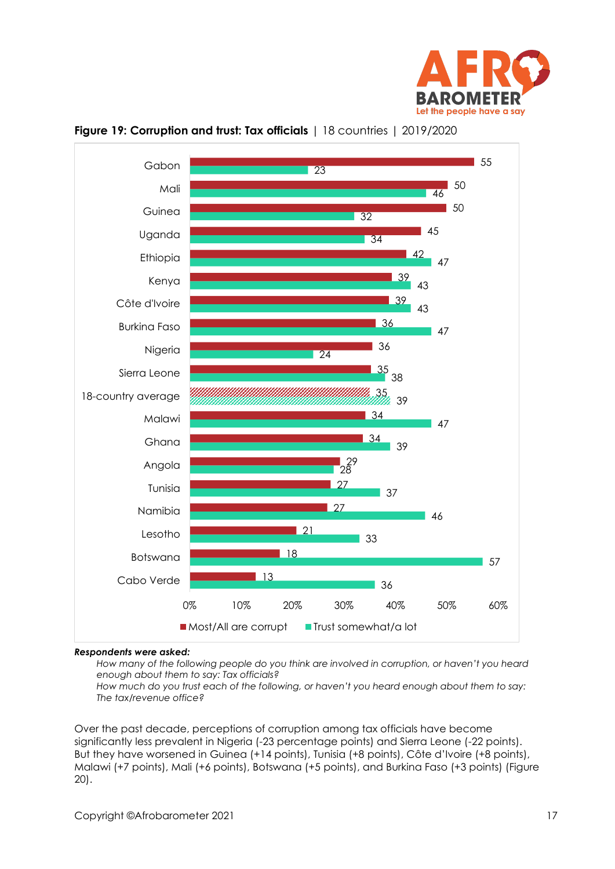





#### *Respondents were asked:*

*How many of the following people do you think are involved in corruption, or haven't you heard enough about them to say: Tax officials?*

*How much do you trust each of the following, or haven't you heard enough about them to say: The tax/revenue office?*

Over the past decade, perceptions of corruption among tax officials have become significantly less prevalent in Nigeria (-23 percentage points) and Sierra Leone (-22 points). But they have worsened in Guinea (+14 points), Tunisia (+8 points), Côte d'Ivoire (+8 points), Malawi (+7 points), Mali (+6 points), Botswana (+5 points), and Burkina Faso (+3 points) (Figure 20).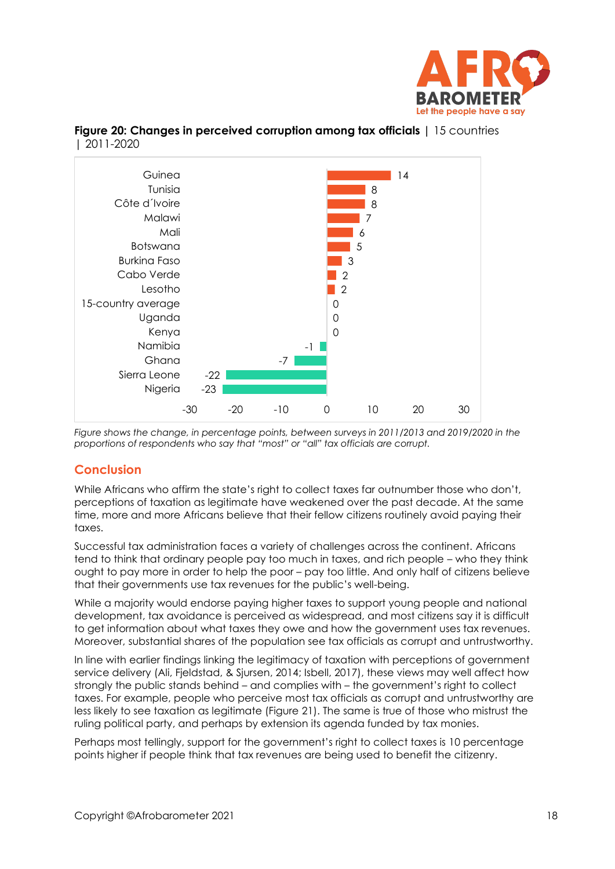



## **Figure 20: Changes in perceived corruption among tax officials |** 15 countries | 2011-2020

*Figure shows the change, in percentage points, between surveys in 2011/2013 and 2019/2020 in the proportions of respondents who say that "most" or "all" tax officials are corrupt.*

## **Conclusion**

While Africans who affirm the state's right to collect taxes far outnumber those who don't, perceptions of taxation as legitimate have weakened over the past decade. At the same time, more and more Africans believe that their fellow citizens routinely avoid paying their taxes.

Successful tax administration faces a variety of challenges across the continent. Africans tend to think that ordinary people pay too much in taxes, and rich people – who they think ought to pay more in order to help the poor – pay too little. And only half of citizens believe that their governments use tax revenues for the public's well-being.

While a majority would endorse paying higher taxes to support young people and national development, tax avoidance is perceived as widespread, and most citizens say it is difficult to get information about what taxes they owe and how the government uses tax revenues. Moreover, substantial shares of the population see tax officials as corrupt and untrustworthy.

In line with earlier findings linking the legitimacy of taxation with perceptions of government service delivery (Ali, Fjeldstad, & Sjursen, 2014; Isbell, 2017), these views may well affect how strongly the public stands behind – and complies with – the government's right to collect taxes. For example, people who perceive most tax officials as corrupt and untrustworthy are less likely to see taxation as legitimate (Figure 21). The same is true of those who mistrust the ruling political party, and perhaps by extension its agenda funded by tax monies.

Perhaps most tellingly, support for the government's right to collect taxes is 10 percentage points higher if people think that tax revenues are being used to benefit the citizenry.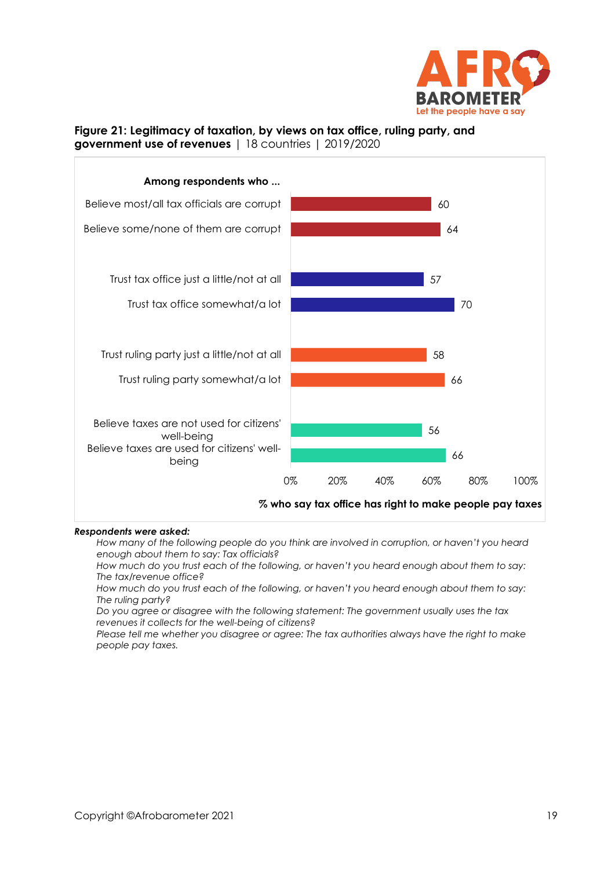

#### **Figure 21: Legitimacy of taxation, by views on tax office, ruling party, and government use of revenues** | 18 countries | 2019/2020



#### *Respondents were asked:*

*How many of the following people do you think are involved in corruption, or haven't you heard enough about them to say: Tax officials?*

*How much do you trust each of the following, or haven't you heard enough about them to say: The tax/revenue office?*

*How much do you trust each of the following, or haven't you heard enough about them to say: The ruling party?*

*Do you agree or disagree with the following statement: The government usually uses the tax revenues it collects for the well-being of citizens?*

*Please tell me whether you disagree or agree: The tax authorities always have the right to make people pay taxes.*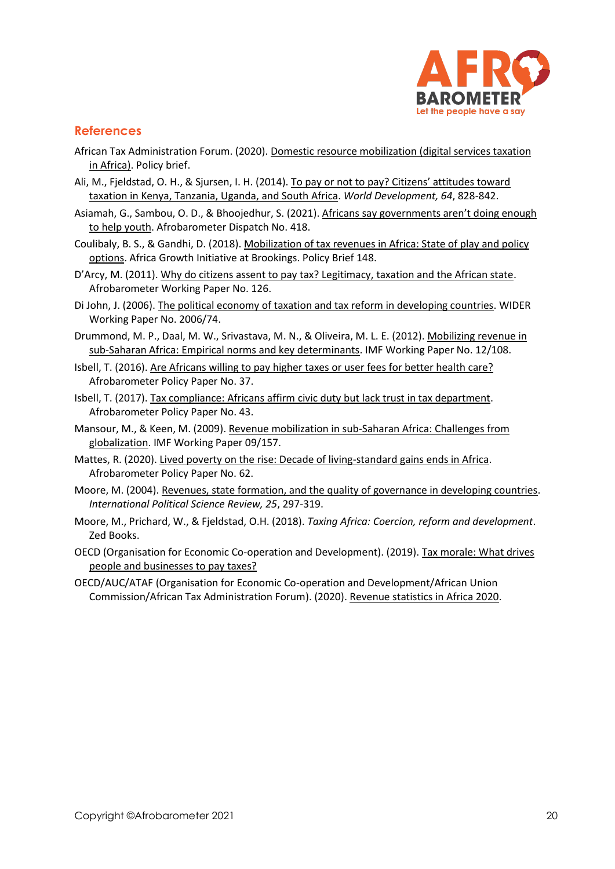

#### **References**

- African Tax Administration Forum. (2020). [Domestic resource mobilization](https://events.ataftax.org/index.php?page=documents&func=view&document_id=61&token=dd41867185848dba5ecb4a3783851692&thankyou) (digital services taxation [in Africa\).](https://events.ataftax.org/index.php?page=documents&func=view&document_id=61&token=dd41867185848dba5ecb4a3783851692&thankyou) Policy brief.
- Ali, M., Fjeldstad, O. H., & Sjursen, I. H. (2014). [To pay or not to pay? Citizens' attitudes toward](https://www.cmi.no/publications/5198-to-pay-or-not-to-pay)  [taxation in Kenya, Tanzania, Uganda, and South Africa.](https://www.cmi.no/publications/5198-to-pay-or-not-to-pay) *World Development, 64*, 828-842.
- Asiamah, G., Sambou, O. D., & Bhoojedhur, S. (2021). [Africans say governments aren't doing enough](https://afrobarometer.org/sites/default/files/publications/Dispatches/ad418-african_publics_say_governments_must_address_needs_of_youth-afrobarometer_dispatch-11jan21.pdf)  [to help youth.](https://afrobarometer.org/sites/default/files/publications/Dispatches/ad418-african_publics_say_governments_must_address_needs_of_youth-afrobarometer_dispatch-11jan21.pdf) Afrobarometer Dispatch No. 418.
- Coulibaly, B. S., & Gandhi, D. (2018). [Mobilization of tax revenues in Africa:](https://www.brookings.edu/research/mobilization-of-tax-revenues-in-africa/) State of play and policy [options.](https://www.brookings.edu/research/mobilization-of-tax-revenues-in-africa/) Africa Growth Initiative at Brookings. Policy Brief 148.
- D'Arcy, M. (2011)[. Why do citizens assent to pay tax? Legitimacy, taxation and the African state.](https://afrobarometer.org/sites/default/files/publications/Working%20paper/AfropaperNo126.pdf) Afrobarometer Working Paper No. 126.
- Di John, J. (2006). [The political economy of taxation and tax reform in developing countries.](https://www.wider.unu.edu/publication/political-economy-taxation-and-tax-reform-developing-countries) WIDER Working Paper No. 2006/74.
- Drummond, M. P., Daal, M. W., Srivastava, M. N., & Oliveira, M. L. E. (2012)[. Mobilizing revenue in](https://www.imf.org/en/Publications/WP/Issues/2016/12/31/Mobilizing-Revenue-in-Sub-Saharan-Africa-Empirical-Norms-and-Key-Determinants-25882)  [sub-Saharan Africa: Empirical](https://www.imf.org/en/Publications/WP/Issues/2016/12/31/Mobilizing-Revenue-in-Sub-Saharan-Africa-Empirical-Norms-and-Key-Determinants-25882) norms and key determinants. IMF Working Paper No. 12/108.
- Isbell, T. (2016)[. Are Africans willing to pay higher taxes or user fees for better health care?](https://afrobarometer.org/publications/pp37-are-africans-willing-pay-higher-taxes-or-user-fees-better-health-care) Afrobarometer Policy Paper No. 37.
- Isbell, T. (2017). Tax compliance: Africans affirm [civic duty but lack trust in tax department.](https://afrobarometer.org/publications/pp43-tax-compliance-africans-affirm-civic-duty-lack-trust-tax-department) Afrobarometer Policy Paper No. 43.
- Mansour, M., & Keen, M. (2009)[. Revenue mobilization in sub-Saharan Africa: Challenges from](https://www.imf.org/external/pubs/ft/wp/2009/wp09157.pdf)  [globalization.](https://www.imf.org/external/pubs/ft/wp/2009/wp09157.pdf) IMF Working Paper 09/157.
- Mattes, R. (2020). [Lived poverty on the rise: Decade of living-standard gains ends in Africa.](http://afrobarometer.org/publications/pp62-lived-poverty-rise-decade-living-standard-gains-ends-africa) Afrobarometer Policy Paper No. 62.
- Moore, M. (2004)[. Revenues, state formation, and the quality of governance in developing countries.](https://journals.sagepub.com/doi/10.1177/0192512104043018) *International Political Science Review, 25*, 297-319.
- Moore, M., Prichard, W., & Fjeldstad, O.H. (2018). *Taxing Africa: Coercion, reform and development*. Zed Books.
- OECD (Organisation for Economic Co-operation and Development). (2019). [Tax morale: What drives](https://doi.org/10.1787/f3d8ea10-en)  [people and businesses to pay taxes?](https://doi.org/10.1787/f3d8ea10-en)
- OECD/AUC/ATAF (Organisation for Economic Co-operation and Development/African Union Commission/African Tax Administration Forum). (2020). [Revenue statistics in Africa 2020.](https://www.keepeek.com/Digital-Asset-Management/oecd/taxation/revenue-statistics-in-africa-2020_14e1edb1-en-fr#page42)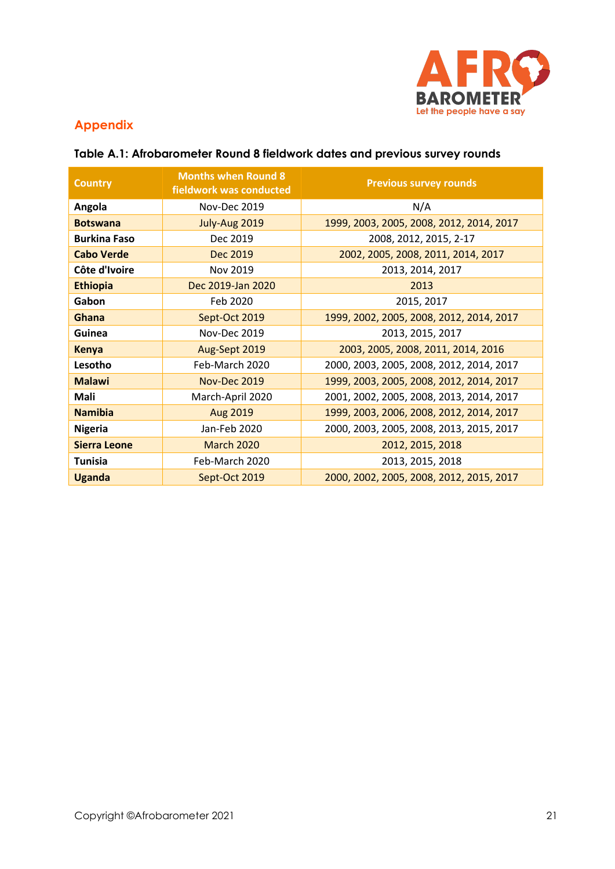

# **Appendix**

## **Table A.1: Afrobarometer Round 8 fieldwork dates and previous survey rounds**

| <b>Country</b>      | <b>Months when Round 8</b><br>fieldwork was conducted | <b>Previous survey rounds</b>            |
|---------------------|-------------------------------------------------------|------------------------------------------|
| Angola              | Nov-Dec 2019                                          | N/A                                      |
| <b>Botswana</b>     | July-Aug 2019                                         | 1999, 2003, 2005, 2008, 2012, 2014, 2017 |
| <b>Burkina Faso</b> | Dec 2019                                              | 2008, 2012, 2015, 2-17                   |
| <b>Cabo Verde</b>   | Dec 2019                                              | 2002, 2005, 2008, 2011, 2014, 2017       |
| Côte d'Ivoire       | Nov 2019                                              | 2013, 2014, 2017                         |
| <b>Ethiopia</b>     | Dec 2019-Jan 2020                                     | 2013                                     |
| Gabon               | Feb 2020                                              | 2015, 2017                               |
| Ghana               | Sept-Oct 2019                                         | 1999, 2002, 2005, 2008, 2012, 2014, 2017 |
| Guinea              | <b>Nov-Dec 2019</b>                                   | 2013, 2015, 2017                         |
| <b>Kenya</b>        | Aug-Sept 2019                                         | 2003, 2005, 2008, 2011, 2014, 2016       |
| Lesotho             | Feb-March 2020                                        | 2000, 2003, 2005, 2008, 2012, 2014, 2017 |
| <b>Malawi</b>       | <b>Nov-Dec 2019</b>                                   | 1999, 2003, 2005, 2008, 2012, 2014, 2017 |
| Mali                | March-April 2020                                      | 2001, 2002, 2005, 2008, 2013, 2014, 2017 |
| <b>Namibia</b>      | Aug 2019                                              | 1999, 2003, 2006, 2008, 2012, 2014, 2017 |
| <b>Nigeria</b>      | Jan-Feb 2020                                          | 2000, 2003, 2005, 2008, 2013, 2015, 2017 |
| <b>Sierra Leone</b> | <b>March 2020</b>                                     | 2012, 2015, 2018                         |
| <b>Tunisia</b>      | Feb-March 2020                                        | 2013, 2015, 2018                         |
| <b>Uganda</b>       | Sept-Oct 2019                                         | 2000, 2002, 2005, 2008, 2012, 2015, 2017 |